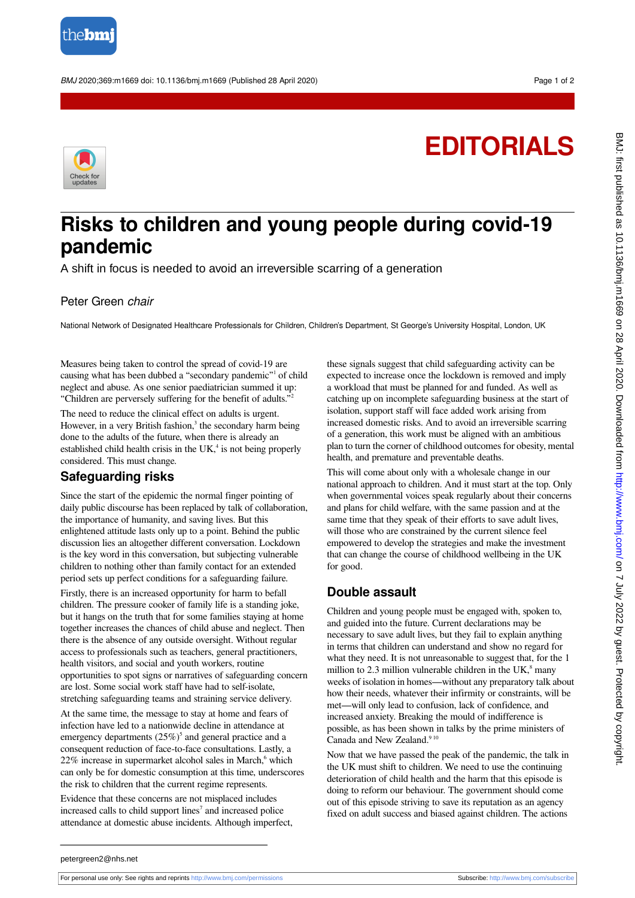

BMJ 2020;369:m1669 doi: 10.1136/bmj.m1669 (Published 28 April 2020) example to the control of 2

# **EDITORIALS**



# **Risks to children and young people during covid-19 pandemic**

A shift in focus is needed to avoid an irreversible scarring of a generation

#### Peter Green chair

National Network of Designated Healthcare Professionals for Children, Children's Department, St George's University Hospital, London, UK

Measures being taken to control the spread of covid-19 are causing what has been dubbed a "secondary pandemic"<sup>1</sup> of child neglect and abuse. As one senior paediatrician summed it up: "Children are perversely suffering for the benefit of adults."<sup>2</sup>

The need to reduce the clinical effect on adults is urgent. However, in a very British fashion,<sup>3</sup> the secondary harm being done to the adults of the future, when there is already an established child health crisis in the  $UK<sup>4</sup>$  is not being properly considered. This must change.

## **Safeguarding risks**

Since the start of the epidemic the normal finger pointing of daily public discourse has been replaced by talk of collaboration, the importance of humanity, and saving lives. But this enlightened attitude lasts only up to a point. Behind the public discussion lies an altogether different conversation. Lockdown is the key word in this conversation, but subjecting vulnerable children to nothing other than family contact for an extended period sets up perfect conditions for a safeguarding failure.

Firstly, there is an increased opportunity for harm to befall children. The pressure cooker of family life is a standing joke, but it hangs on the truth that for some families staying at home together increases the chances of child abuse and neglect. Then there is the absence of any outside oversight. Without regular access to professionals such as teachers, general practitioners, health visitors, and social and youth workers, routine opportunities to spot signs or narratives of safeguarding concern are lost. Some social work staff have had to self-isolate, stretching safeguarding teams and straining service delivery.

At the same time, the message to stay at home and fears of infection have led to a nationwide decline in attendance at emergency departments  $(25\%)^5$  and general practice and a consequent reduction of face-to-face consultations. Lastly, a 22% increase in supermarket alcohol sales in March,<sup>6</sup> which can only be for domestic consumption at this time, underscores the risk to children that the current regime represents.

Evidence that these concerns are not misplaced includes increased calls to child support lines<sup>7</sup> and increased police attendance at domestic abuse incidents. Although imperfect,

these signals suggest that child safeguarding activity can be expected to increase once the lockdown is removed and imply a workload that must be planned for and funded. As well as catching up on incomplete safeguarding business at the start of isolation, support staff will face added work arising from increased domestic risks. And to avoid an irreversible scarring of a generation, this work must be aligned with an ambitious plan to turn the corner of childhood outcomes for obesity, mental health, and premature and preventable deaths.

This will come about only with a wholesale change in our national approach to children. And it must start at the top. Only when governmental voices speak regularly about their concerns and plans for child welfare, with the same passion and at the same time that they speak of their efforts to save adult lives, will those who are constrained by the current silence feel empowered to develop the strategies and make the investment that can change the course of childhood wellbeing in the UK for good.

## **Double assault**

Children and young people must be engaged with, spoken to, and guided into the future. Current declarations may be necessary to save adult lives, but they fail to explain anything in terms that children can understand and show no regard for what they need. It is not unreasonable to suggest that, for the 1 million to 2.3 million vulnerable children in the  $UK$ <sup>8</sup> many weeks of isolation in homes—without any preparatory talk about how their needs, whatever their infirmity or constraints, will be met—will only lead to confusion, lack of confidence, and increased anxiety. Breaking the mould of indifference is possible, as has been shown in talks by the prime ministers of Canada and New Zealand.<sup>9 10</sup>

Now that we have passed the peak of the pandemic, the talk in the UK must shift to children. We need to use the continuing deterioration of child health and the harm that this episode is doing to reform our behaviour. The government should come out of this episode striving to save its reputation as an agency fixed on adult success and biased against children. The actions

petergreen2@nhs.net